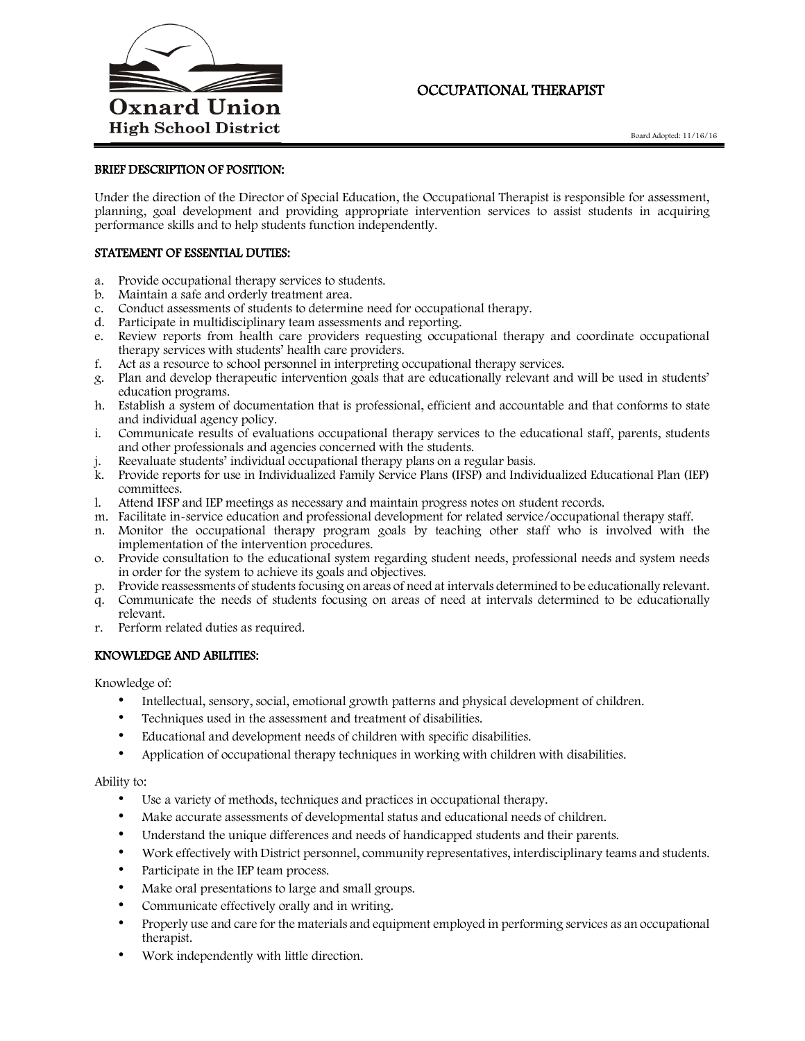

# OCCUPATIONAL THERAPIST

# BRIEF DESCRIPTION OF POSITION:

Under the direction of the Director of Special Education, the Occupational Therapist is responsible for assessment, planning, goal development and providing appropriate intervention services to assist students in acquiring performance skills and to help students function independently.

## STATEMENT OF ESSENTIAL DUTIES:

- a. Provide occupational therapy services to students.
- b. Maintain a safe and orderly treatment area.
- c. Conduct assessments of students to determine need for occupational therapy.
- d. Participate in multidisciplinary team assessments and reporting.
- e. Review reports from health care providers requesting occupational therapy and coordinate occupational therapy services with students' health care providers.
- f. Act as a resource to school personnel in interpreting occupational therapy services.
- g. Plan and develop therapeutic intervention goals that are educationally relevant and will be used in students' education programs.
- h. Establish a system of documentation that is professional, efficient and accountable and that conforms to state and individual agency policy.
- i. Communicate results of evaluations occupational therapy services to the educational staff, parents, students and other professionals and agencies concerned with the students.
- Reevaluate students' individual occupational therapy plans on a regular basis.
- k. Provide reports for use in Individualized Family Service Plans (IFSP) and Individualized Educational Plan (IEP) committees.
- l. Attend IFSP and IEP meetings as necessary and maintain progress notes on student records.
- m. Facilitate in-service education and professional development for related service/occupational therapy staff.
- n. Monitor the occupational therapy program goals by teaching other staff who is involved with the implementation of the intervention procedures.
- o. Provide consultation to the educational system regarding student needs, professional needs and system needs in order for the system to achieve its goals and objectives.
- p. Provide reassessments of students focusing on areas of need at intervals determined to be educationally relevant.
- q. Communicate the needs of students focusing on areas of need at intervals determined to be educationally relevant.
- r. Perform related duties as required.

# KNOWLEDGE AND ABILITIES:

Knowledge of:

- Intellectual, sensory, social, emotional growth patterns and physical development of children.
- Techniques used in the assessment and treatment of disabilities.
- Educational and development needs of children with specific disabilities.
- Application of occupational therapy techniques in working with children with disabilities.

#### Ability to:

- Use a variety of methods, techniques and practices in occupational therapy.
- Make accurate assessments of developmental status and educational needs of children.
- Understand the unique differences and needs of handicapped students and their parents.
- Work effectively with District personnel, community representatives, interdisciplinary teams and students.
- Participate in the IEP team process.
- Make oral presentations to large and small groups.
- Communicate effectively orally and in writing.
- Properly use and care for the materials and equipment employed in performing services as an occupational therapist.
- Work independently with little direction.